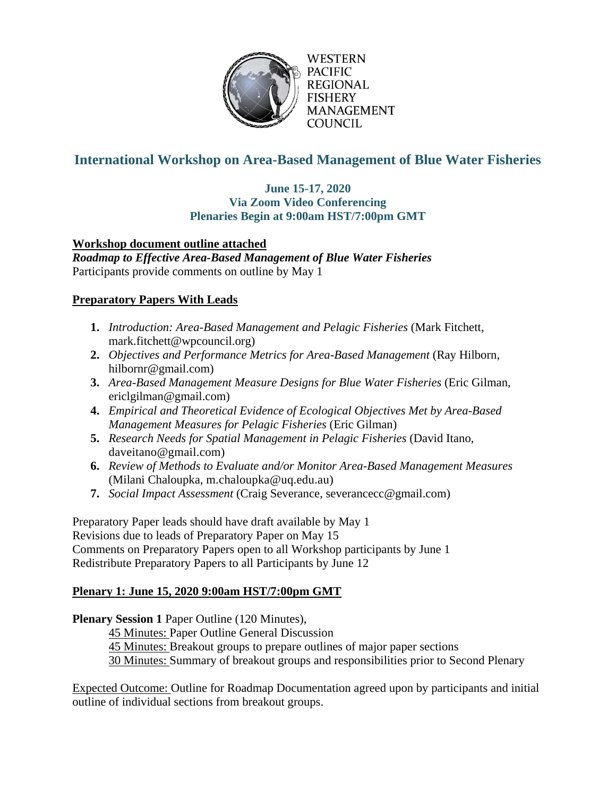

WESTERN **PACIFIC REGIONAL** FISHERY MANAGEMENT **COUNCIL** 

# **International Workshop on Area-Based Management of Blue Water Fisheries**

#### **June 15-17, 2020 Via Zoom Video Conferencing Plenaries Begin at 9:00am HST/7:00pm GMT**

# **Workshop document outline attached**

*Roadmap to Effective Area-Based Management of Blue Water Fisheries* Participants provide comments on outline by May 1

# **Preparatory Papers With Leads**

- **1.** *Introduction: Area-Based Management and Pelagic Fisheries* (Mark Fitchett, mark.fitchett@wpcouncil.org)
- **2.** *Objectives and Performance Metrics for Area-Based Management* (Ray Hilborn, hilbornr@gmail.com)
- **3.** *Area-Based Management Measure Designs for Blue Water Fisheries* (Eric Gilman, ericlgilman@gmail.com)
- **4.** *Empirical and Theoretical Evidence of Ecological Objectives Met by Area-Based Management Measures for Pelagic Fisheries* (Eric Gilman)
- **5.** *Research Needs for Spatial Management in Pelagic Fisheries* (David Itano, daveitano@gmail.com)
- **6.** *Review of Methods to Evaluate and/or Monitor Area-Based Management Measures* (Milani Chaloupka, m.chaloupka@uq.edu.au)
- **7.** *Social Impact Assessment* (Craig Severance, severancecc@gmail.com)

Preparatory Paper leads should have draft available by May 1 Revisions due to leads of Preparatory Paper on May 15 Comments on Preparatory Papers open to all Workshop participants by June 1 Redistribute Preparatory Papers to all Participants by June 12

# **Plenary 1: June 15, 2020 9:00am HST/7:00pm GMT**

**Plenary Session 1** Paper Outline (120 Minutes),

45 Minutes: Paper Outline General Discussion

45 Minutes: Breakout groups to prepare outlines of major paper sections

30 Minutes: Summary of breakout groups and responsibilities prior to Second Plenary

Expected Outcome: Outline for Roadmap Documentation agreed upon by participants and initial outline of individual sections from breakout groups.